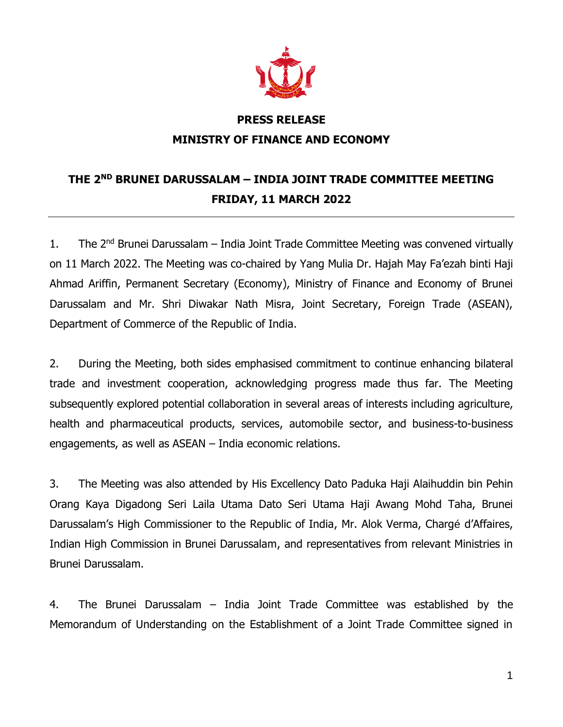

## **PRESS RELEASE MINISTRY OF FINANCE AND ECONOMY**

## **THE 2ND BRUNEI DARUSSALAM – INDIA JOINT TRADE COMMITTEE MEETING FRIDAY, 11 MARCH 2022**

1. The 2<sup>nd</sup> Brunei Darussalam – India Joint Trade Committee Meeting was convened virtually on 11 March 2022. The Meeting was co-chaired by Yang Mulia Dr. Hajah May Fa'ezah binti Haji Ahmad Ariffin, Permanent Secretary (Economy), Ministry of Finance and Economy of Brunei Darussalam and Mr. Shri Diwakar Nath Misra, Joint Secretary, Foreign Trade (ASEAN), Department of Commerce of the Republic of India.

2. During the Meeting, both sides emphasised commitment to continue enhancing bilateral trade and investment cooperation, acknowledging progress made thus far. The Meeting subsequently explored potential collaboration in several areas of interests including agriculture, health and pharmaceutical products, services, automobile sector, and business-to-business engagements, as well as ASEAN – India economic relations.

3. The Meeting was also attended by His Excellency Dato Paduka Haji Alaihuddin bin Pehin Orang Kaya Digadong Seri Laila Utama Dato Seri Utama Haji Awang Mohd Taha, Brunei Darussalam's High Commissioner to the Republic of India, Mr. Alok Verma, Chargé d'Affaires, Indian High Commission in Brunei Darussalam, and representatives from relevant Ministries in Brunei Darussalam.

4. The Brunei Darussalam – India Joint Trade Committee was established by the Memorandum of Understanding on the Establishment of a Joint Trade Committee signed in